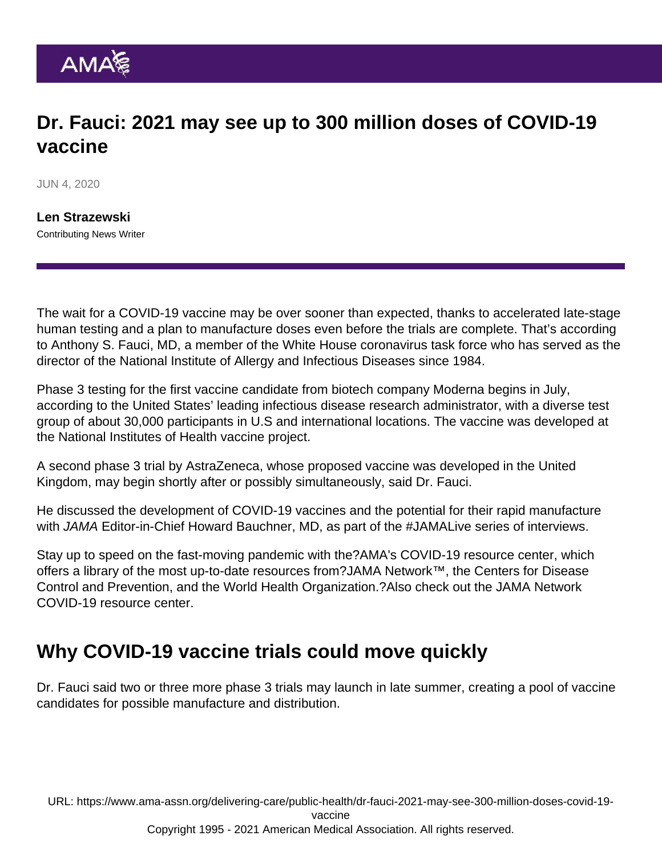## Dr. Fauci: 2021 may see up to 300 million doses of COVID-19 vaccine

JUN 4, 2020

[Len Strazewski](https://www.ama-assn.org/news-leadership-viewpoints/authors-news-leadership-viewpoints/len-strazewski) Contributing News Writer

The wait for a COVID-19 vaccine may be over sooner than expected, thanks to accelerated late-stage human testing and a plan to manufacture doses even before the trials are complete. That's according to Anthony S. Fauci, MD, a member of the White House coronavirus task force who has served as the director of the National Institute of Allergy and Infectious Diseases since 1984.

Phase 3 testing for the first vaccine candidate from biotech company Moderna begins in July, according to the United States' leading infectious disease research administrator, with a diverse test group of about 30,000 participants in U.S and international locations. The vaccine was developed at the National Institutes of Health vaccine project.

A second phase 3 trial by AstraZeneca, whose proposed vaccine was developed in the United Kingdom, may begin shortly after or possibly simultaneously, said Dr. Fauci.

He discussed the development of COVID-19 vaccines and the potential for their rapid manufacture with JAMA Editor-in-Chief Howard Bauchner, MD, as part of the [#JAMALive](https://www.youtube.com/results?search_query=#JAMALive) series of interviews.

Stay up to speed on the fast-moving pandemic with the?[AMA's COVID-19 resource center,](https://www.ama-assn.org/delivering-care/public-health/covid-19-2019-novel-coronavirus-resource-center-physicians) which offers a library of the most up-to-date resources from?[JAMA Network](https://jamanetwork.com/)™, the Centers for Disease Control and Prevention, and the World Health Organization.?Also check out the [JAMA Network](https://jamanetwork.com/journals/jama/pages/coronavirus-alert) [COVID-19 resource center](https://jamanetwork.com/journals/jama/pages/coronavirus-alert).

## Why COVID-19 vaccine trials could move quickly

Dr. Fauci said two or three more phase 3 trials may launch in late summer, creating a pool of vaccine candidates for possible manufacture and distribution.

URL: [https://www.ama-assn.org/delivering-care/public-health/dr-fauci-2021-may-see-300-million-doses-covid-19-](https://www.ama-assn.org/delivering-care/public-health/dr-fauci-2021-may-see-300-million-doses-covid-19-vaccine)

[vaccine](https://www.ama-assn.org/delivering-care/public-health/dr-fauci-2021-may-see-300-million-doses-covid-19-vaccine)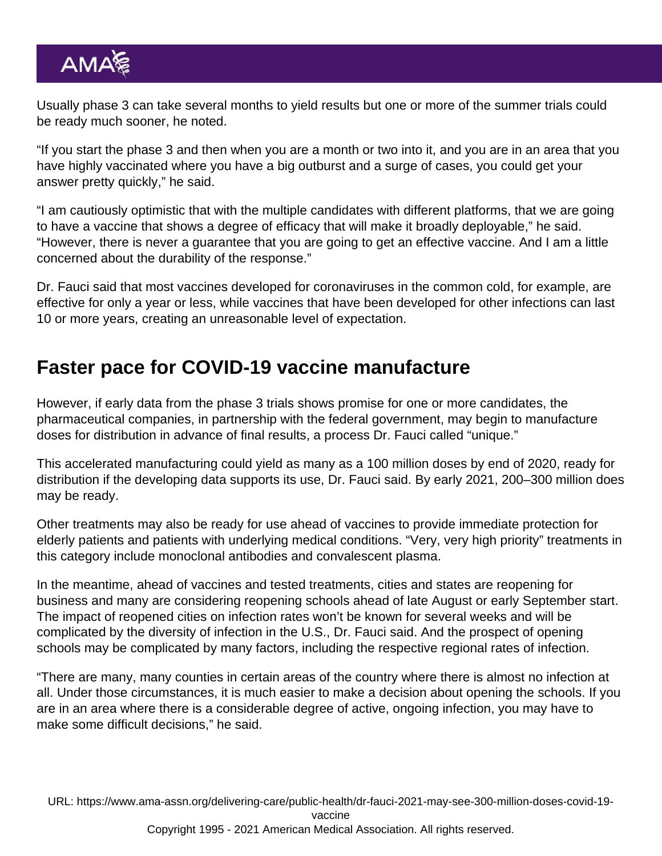Usually phase 3 can take several months to yield results but one or more of the summer trials could be ready much sooner, he noted.

"If you start the phase 3 and then when you are a month or two into it, and you are in an area that you have highly vaccinated where you have a big outburst and a surge of cases, you could get your answer pretty quickly," he said.

"I am cautiously optimistic that with the multiple candidates with different platforms, that we are going to have a vaccine that shows a degree of efficacy that will make it broadly deployable," he said. "However, there is never a guarantee that you are going to get an effective vaccine. And I am a little concerned about the durability of the response."

Dr. Fauci said that most vaccines developed for coronaviruses in the common cold, for example, are effective for only a year or less, while vaccines that have been developed for other infections can last 10 or more years, creating an unreasonable level of expectation.

## Faster pace for COVID-19 vaccine manufacture

However, if early data from the phase 3 trials shows promise for one or more candidates, the pharmaceutical companies, in partnership with the federal government, may begin to manufacture doses for distribution in advance of final results, a process Dr. Fauci called "unique."

This accelerated manufacturing could yield as many as a 100 million doses by end of 2020, ready for distribution if the developing data supports its use, Dr. Fauci said. By early 2021, 200–300 million does may be ready.

Other treatments may also be ready for use ahead of vaccines to provide immediate protection for elderly patients and patients with underlying medical conditions. "Very, very high priority" treatments in this category include monoclonal antibodies and convalescent plasma.

In the meantime, ahead of vaccines and tested treatments, cities and states are reopening for business and many are considering reopening schools ahead of late August or early September start. The impact of reopened cities on infection rates won't be known for several weeks and will be complicated by the diversity of infection in the U.S., Dr. Fauci said. And the prospect of opening schools may be complicated by many factors, including the respective regional rates of infection.

"There are many, many counties in certain areas of the country where there is almost no infection at all. Under those circumstances, it is much easier to make a decision about opening the schools. If you are in an area where there is a considerable degree of active, ongoing infection, you may have to make some difficult decisions," he said.

URL: [https://www.ama-assn.org/delivering-care/public-health/dr-fauci-2021-may-see-300-million-doses-covid-19](https://www.ama-assn.org/delivering-care/public-health/dr-fauci-2021-may-see-300-million-doses-covid-19-vaccine) [vaccine](https://www.ama-assn.org/delivering-care/public-health/dr-fauci-2021-may-see-300-million-doses-covid-19-vaccine) Copyright 1995 - 2021 American Medical Association. All rights reserved.